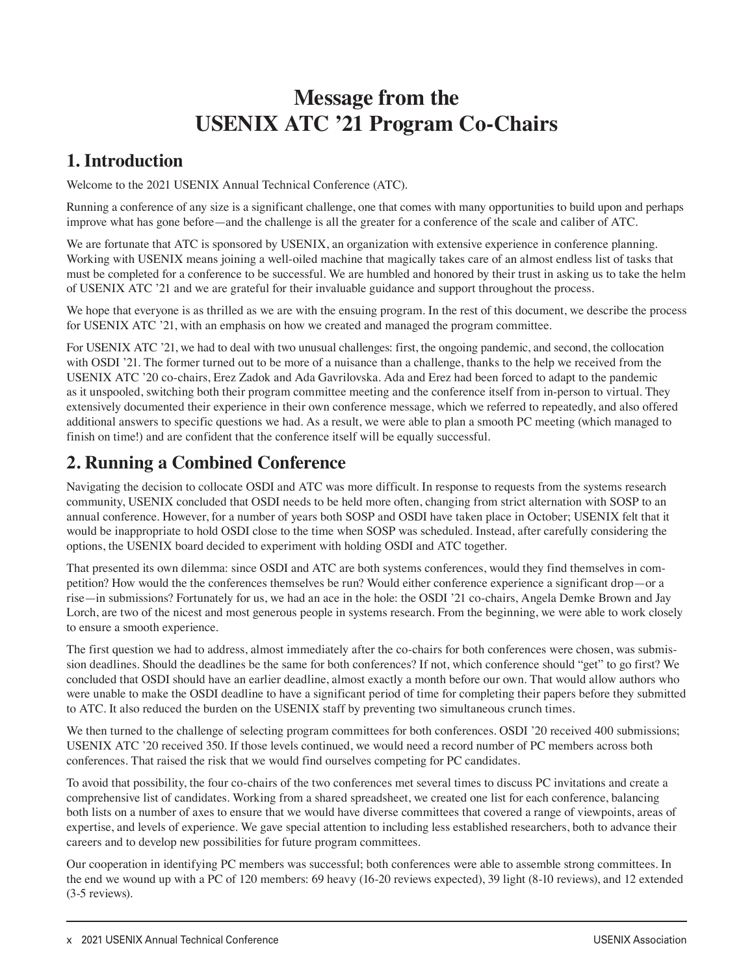# **Message from the USENIX ATC '21 Program Co-Chairs**

### **1. Introduction**

Welcome to the 2021 USENIX Annual Technical Conference (ATC).

Running a conference of any size is a significant challenge, one that comes with many opportunities to build upon and perhaps improve what has gone before—and the challenge is all the greater for a conference of the scale and caliber of ATC.

We are fortunate that ATC is sponsored by USENIX, an organization with extensive experience in conference planning. Working with USENIX means joining a well-oiled machine that magically takes care of an almost endless list of tasks that must be completed for a conference to be successful. We are humbled and honored by their trust in asking us to take the helm of USENIX ATC '21 and we are grateful for their invaluable guidance and support throughout the process.

We hope that everyone is as thrilled as we are with the ensuing program. In the rest of this document, we describe the process for USENIX ATC '21, with an emphasis on how we created and managed the program committee.

For USENIX ATC '21, we had to deal with two unusual challenges: first, the ongoing pandemic, and second, the collocation with OSDI '21. The former turned out to be more of a nuisance than a challenge, thanks to the help we received from the USENIX ATC '20 co-chairs, Erez Zadok and Ada Gavrilovska. Ada and Erez had been forced to adapt to the pandemic as it unspooled, switching both their program committee meeting and the conference itself from in-person to virtual. They extensively documented their experience in their own conference message, which we referred to repeatedly, and also offered additional answers to specific questions we had. As a result, we were able to plan a smooth PC meeting (which managed to finish on time!) and are confident that the conference itself will be equally successful.

# **2. Running a Combined Conference**

Navigating the decision to collocate OSDI and ATC was more difficult. In response to requests from the systems research community, USENIX concluded that OSDI needs to be held more often, changing from strict alternation with SOSP to an annual conference. However, for a number of years both SOSP and OSDI have taken place in October; USENIX felt that it would be inappropriate to hold OSDI close to the time when SOSP was scheduled. Instead, after carefully considering the options, the USENIX board decided to experiment with holding OSDI and ATC together.

That presented its own dilemma: since OSDI and ATC are both systems conferences, would they find themselves in competition? How would the the conferences themselves be run? Would either conference experience a significant drop—or a rise—in submissions? Fortunately for us, we had an ace in the hole: the OSDI '21 co-chairs, Angela Demke Brown and Jay Lorch, are two of the nicest and most generous people in systems research. From the beginning, we were able to work closely to ensure a smooth experience.

The first question we had to address, almost immediately after the co-chairs for both conferences were chosen, was submission deadlines. Should the deadlines be the same for both conferences? If not, which conference should "get" to go first? We concluded that OSDI should have an earlier deadline, almost exactly a month before our own. That would allow authors who were unable to make the OSDI deadline to have a significant period of time for completing their papers before they submitted to ATC. It also reduced the burden on the USENIX staff by preventing two simultaneous crunch times.

We then turned to the challenge of selecting program committees for both conferences. OSDI '20 received 400 submissions; USENIX ATC '20 received 350. If those levels continued, we would need a record number of PC members across both conferences. That raised the risk that we would find ourselves competing for PC candidates.

To avoid that possibility, the four co-chairs of the two conferences met several times to discuss PC invitations and create a comprehensive list of candidates. Working from a shared spreadsheet, we created one list for each conference, balancing both lists on a number of axes to ensure that we would have diverse committees that covered a range of viewpoints, areas of expertise, and levels of experience. We gave special attention to including less established researchers, both to advance their careers and to develop new possibilities for future program committees.

Our cooperation in identifying PC members was successful; both conferences were able to assemble strong committees. In the end we wound up with a PC of 120 members: 69 heavy (16-20 reviews expected), 39 light (8-10 reviews), and 12 extended (3-5 reviews).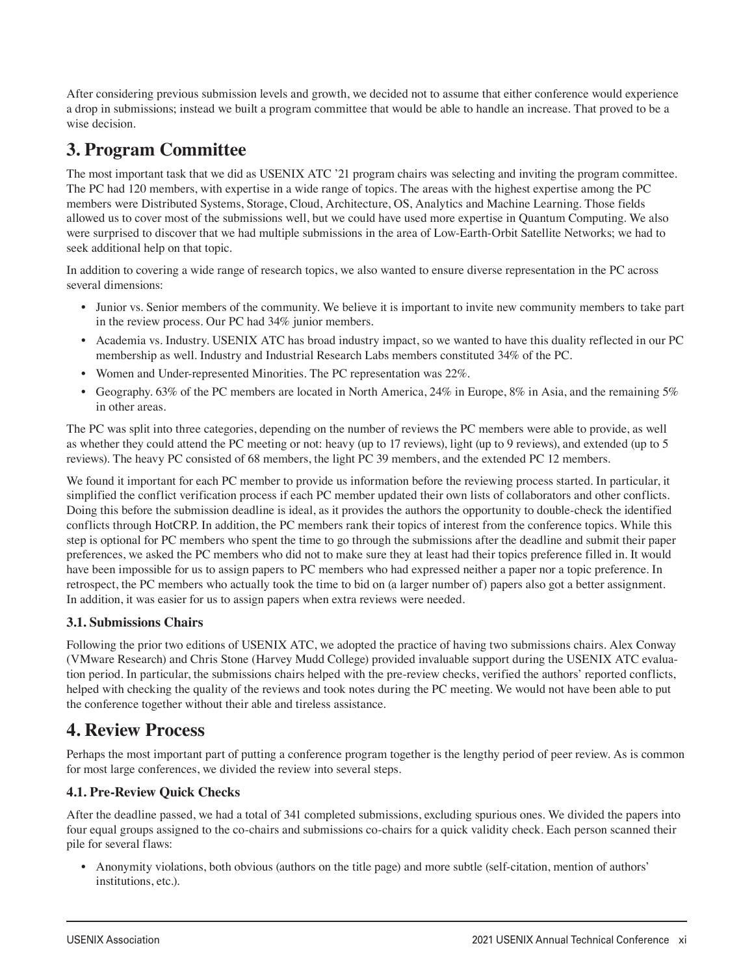After considering previous submission levels and growth, we decided not to assume that either conference would experience a drop in submissions; instead we built a program committee that would be able to handle an increase. That proved to be a wise decision.

# **3. Program Committee**

The most important task that we did as USENIX ATC '21 program chairs was selecting and inviting the program committee. The PC had 120 members, with expertise in a wide range of topics. The areas with the highest expertise among the PC members were Distributed Systems, Storage, Cloud, Architecture, OS, Analytics and Machine Learning. Those fields allowed us to cover most of the submissions well, but we could have used more expertise in Quantum Computing. We also were surprised to discover that we had multiple submissions in the area of Low-Earth-Orbit Satellite Networks; we had to seek additional help on that topic.

In addition to covering a wide range of research topics, we also wanted to ensure diverse representation in the PC across several dimensions:

- Junior vs. Senior members of the community. We believe it is important to invite new community members to take part in the review process. Our PC had 34% junior members.
- Academia vs. Industry. USENIX ATC has broad industry impact, so we wanted to have this duality reflected in our PC membership as well. Industry and Industrial Research Labs members constituted 34% of the PC.
- Women and Under-represented Minorities. The PC representation was 22%.
- Geography. 63% of the PC members are located in North America, 24% in Europe, 8% in Asia, and the remaining 5% in other areas.

The PC was split into three categories, depending on the number of reviews the PC members were able to provide, as well as whether they could attend the PC meeting or not: heavy (up to 17 reviews), light (up to 9 reviews), and extended (up to 5 reviews). The heavy PC consisted of 68 members, the light PC 39 members, and the extended PC 12 members.

We found it important for each PC member to provide us information before the reviewing process started. In particular, it simplified the conflict verification process if each PC member updated their own lists of collaborators and other conflicts. Doing this before the submission deadline is ideal, as it provides the authors the opportunity to double-check the identified conflicts through HotCRP. In addition, the PC members rank their topics of interest from the conference topics. While this step is optional for PC members who spent the time to go through the submissions after the deadline and submit their paper preferences, we asked the PC members who did not to make sure they at least had their topics preference filled in. It would have been impossible for us to assign papers to PC members who had expressed neither a paper nor a topic preference. In retrospect, the PC members who actually took the time to bid on (a larger number of) papers also got a better assignment. In addition, it was easier for us to assign papers when extra reviews were needed.

#### **3.1. Submissions Chairs**

Following the prior two editions of USENIX ATC, we adopted the practice of having two submissions chairs. Alex Conway (VMware Research) and Chris Stone (Harvey Mudd College) provided invaluable support during the USENIX ATC evaluation period. In particular, the submissions chairs helped with the pre-review checks, verified the authors' reported conflicts, helped with checking the quality of the reviews and took notes during the PC meeting. We would not have been able to put the conference together without their able and tireless assistance.

### **4. Review Process**

Perhaps the most important part of putting a conference program together is the lengthy period of peer review. As is common for most large conferences, we divided the review into several steps.

#### **4.1. Pre-Review Quick Checks**

After the deadline passed, we had a total of 341 completed submissions, excluding spurious ones. We divided the papers into four equal groups assigned to the co-chairs and submissions co-chairs for a quick validity check. Each person scanned their pile for several flaws:

• Anonymity violations, both obvious (authors on the title page) and more subtle (self-citation, mention of authors' institutions, etc.).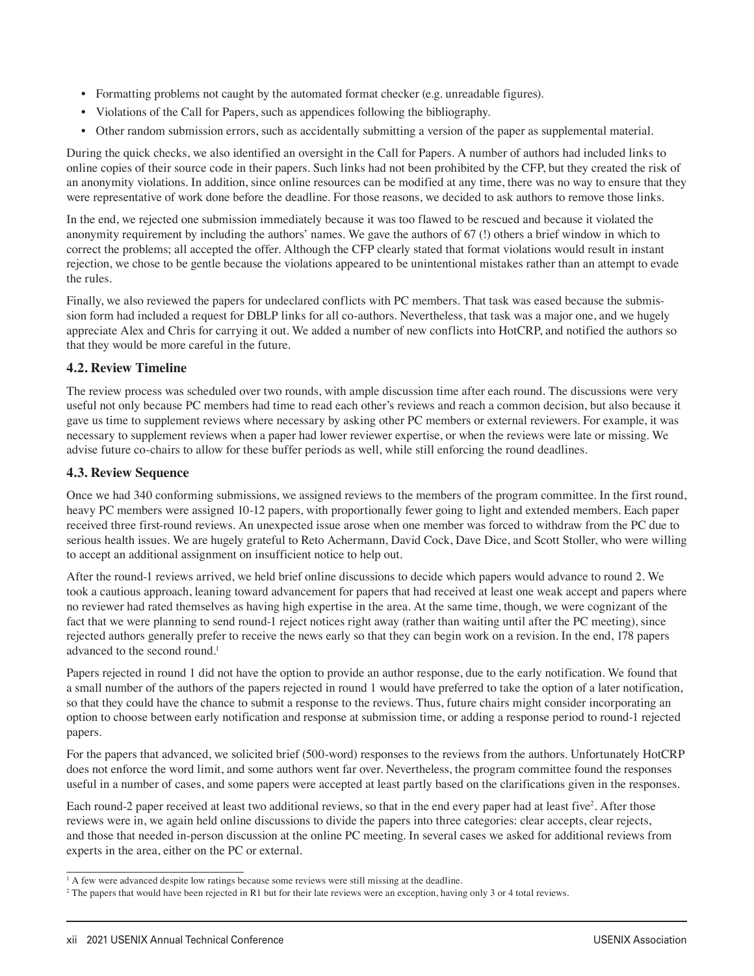- Formatting problems not caught by the automated format checker (e.g. unreadable figures).
- Violations of the Call for Papers, such as appendices following the bibliography.
- Other random submission errors, such as accidentally submitting a version of the paper as supplemental material.

During the quick checks, we also identified an oversight in the Call for Papers. A number of authors had included links to online copies of their source code in their papers. Such links had not been prohibited by the CFP, but they created the risk of an anonymity violations. In addition, since online resources can be modified at any time, there was no way to ensure that they were representative of work done before the deadline. For those reasons, we decided to ask authors to remove those links.

In the end, we rejected one submission immediately because it was too flawed to be rescued and because it violated the anonymity requirement by including the authors' names. We gave the authors of 67 (!) others a brief window in which to correct the problems; all accepted the offer. Although the CFP clearly stated that format violations would result in instant rejection, we chose to be gentle because the violations appeared to be unintentional mistakes rather than an attempt to evade the rules.

Finally, we also reviewed the papers for undeclared conflicts with PC members. That task was eased because the submission form had included a request for DBLP links for all co-authors. Nevertheless, that task was a major one, and we hugely appreciate Alex and Chris for carrying it out. We added a number of new conflicts into HotCRP, and notified the authors so that they would be more careful in the future.

#### **4.2. Review Timeline**

The review process was scheduled over two rounds, with ample discussion time after each round. The discussions were very useful not only because PC members had time to read each other's reviews and reach a common decision, but also because it gave us time to supplement reviews where necessary by asking other PC members or external reviewers. For example, it was necessary to supplement reviews when a paper had lower reviewer expertise, or when the reviews were late or missing. We advise future co-chairs to allow for these buffer periods as well, while still enforcing the round deadlines.

#### **4.3. Review Sequence**

Once we had 340 conforming submissions, we assigned reviews to the members of the program committee. In the first round, heavy PC members were assigned 10-12 papers, with proportionally fewer going to light and extended members. Each paper received three first-round reviews. An unexpected issue arose when one member was forced to withdraw from the PC due to serious health issues. We are hugely grateful to Reto Achermann, David Cock, Dave Dice, and Scott Stoller, who were willing to accept an additional assignment on insufficient notice to help out.

After the round-1 reviews arrived, we held brief online discussions to decide which papers would advance to round 2. We took a cautious approach, leaning toward advancement for papers that had received at least one weak accept and papers where no reviewer had rated themselves as having high expertise in the area. At the same time, though, we were cognizant of the fact that we were planning to send round-1 reject notices right away (rather than waiting until after the PC meeting), since rejected authors generally prefer to receive the news early so that they can begin work on a revision. In the end, 178 papers advanced to the second round.<sup>1</sup>

Papers rejected in round 1 did not have the option to provide an author response, due to the early notification. We found that a small number of the authors of the papers rejected in round 1 would have preferred to take the option of a later notification, so that they could have the chance to submit a response to the reviews. Thus, future chairs might consider incorporating an option to choose between early notification and response at submission time, or adding a response period to round-1 rejected papers.

For the papers that advanced, we solicited brief (500-word) responses to the reviews from the authors. Unfortunately HotCRP does not enforce the word limit, and some authors went far over. Nevertheless, the program committee found the responses useful in a number of cases, and some papers were accepted at least partly based on the clarifications given in the responses.

Each round-2 paper received at least two additional reviews, so that in the end every paper had at least five<sup>2</sup>. After those reviews were in, we again held online discussions to divide the papers into three categories: clear accepts, clear rejects, and those that needed in-person discussion at the online PC meeting. In several cases we asked for additional reviews from experts in the area, either on the PC or external.

<sup>&</sup>lt;sup>1</sup> A few were advanced despite low ratings because some reviews were still missing at the deadline.

<sup>2</sup> The papers that would have been rejected in R1 but for their late reviews were an exception, having only 3 or 4 total reviews.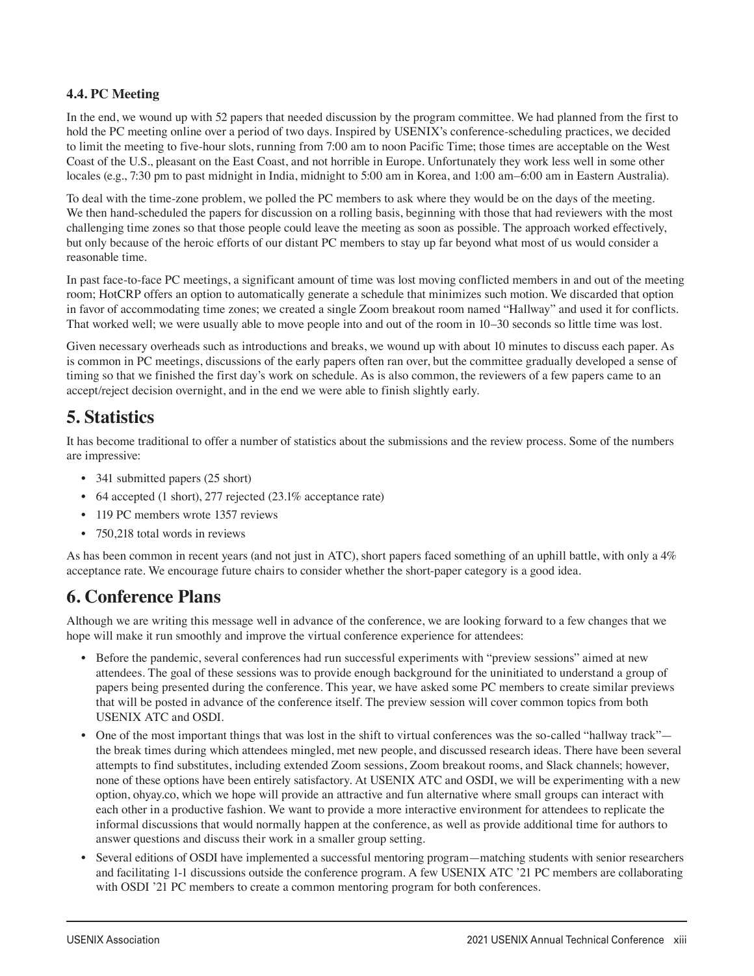#### **4.4. PC Meeting**

In the end, we wound up with 52 papers that needed discussion by the program committee. We had planned from the first to hold the PC meeting online over a period of two days. Inspired by USENIX's conference-scheduling practices, we decided to limit the meeting to five-hour slots, running from 7:00 am to noon Pacific Time; those times are acceptable on the West Coast of the U.S., pleasant on the East Coast, and not horrible in Europe. Unfortunately they work less well in some other locales (e.g., 7:30 pm to past midnight in India, midnight to 5:00 am in Korea, and 1:00 am–6:00 am in Eastern Australia).

To deal with the time-zone problem, we polled the PC members to ask where they would be on the days of the meeting. We then hand-scheduled the papers for discussion on a rolling basis, beginning with those that had reviewers with the most challenging time zones so that those people could leave the meeting as soon as possible. The approach worked effectively, but only because of the heroic efforts of our distant PC members to stay up far beyond what most of us would consider a reasonable time.

In past face-to-face PC meetings, a significant amount of time was lost moving conflicted members in and out of the meeting room; HotCRP offers an option to automatically generate a schedule that minimizes such motion. We discarded that option in favor of accommodating time zones; we created a single Zoom breakout room named "Hallway" and used it for conflicts. That worked well; we were usually able to move people into and out of the room in 10–30 seconds so little time was lost.

Given necessary overheads such as introductions and breaks, we wound up with about 10 minutes to discuss each paper. As is common in PC meetings, discussions of the early papers often ran over, but the committee gradually developed a sense of timing so that we finished the first day's work on schedule. As is also common, the reviewers of a few papers came to an accept/reject decision overnight, and in the end we were able to finish slightly early.

### **5. Statistics**

It has become traditional to offer a number of statistics about the submissions and the review process. Some of the numbers are impressive:

- 341 submitted papers (25 short)
- 64 accepted (1 short), 277 rejected (23.1% acceptance rate)
- 119 PC members wrote 1357 reviews
- 750,218 total words in reviews

As has been common in recent years (and not just in ATC), short papers faced something of an uphill battle, with only a 4% acceptance rate. We encourage future chairs to consider whether the short-paper category is a good idea.

### **6. Conference Plans**

Although we are writing this message well in advance of the conference, we are looking forward to a few changes that we hope will make it run smoothly and improve the virtual conference experience for attendees:

- Before the pandemic, several conferences had run successful experiments with "preview sessions" aimed at new attendees. The goal of these sessions was to provide enough background for the uninitiated to understand a group of papers being presented during the conference. This year, we have asked some PC members to create similar previews that will be posted in advance of the conference itself. The preview session will cover common topics from both USENIX ATC and OSDI.
- One of the most important things that was lost in the shift to virtual conferences was the so-called "hallway track" the break times during which attendees mingled, met new people, and discussed research ideas. There have been several attempts to find substitutes, including extended Zoom sessions, Zoom breakout rooms, and Slack channels; however, none of these options have been entirely satisfactory. At USENIX ATC and OSDI, we will be experimenting with a new option, ohyay.co, which we hope will provide an attractive and fun alternative where small groups can interact with each other in a productive fashion. We want to provide a more interactive environment for attendees to replicate the informal discussions that would normally happen at the conference, as well as provide additional time for authors to answer questions and discuss their work in a smaller group setting.
- Several editions of OSDI have implemented a successful mentoring program—matching students with senior researchers and facilitating 1-1 discussions outside the conference program. A few USENIX ATC '21 PC members are collaborating with OSDI '21 PC members to create a common mentoring program for both conferences.